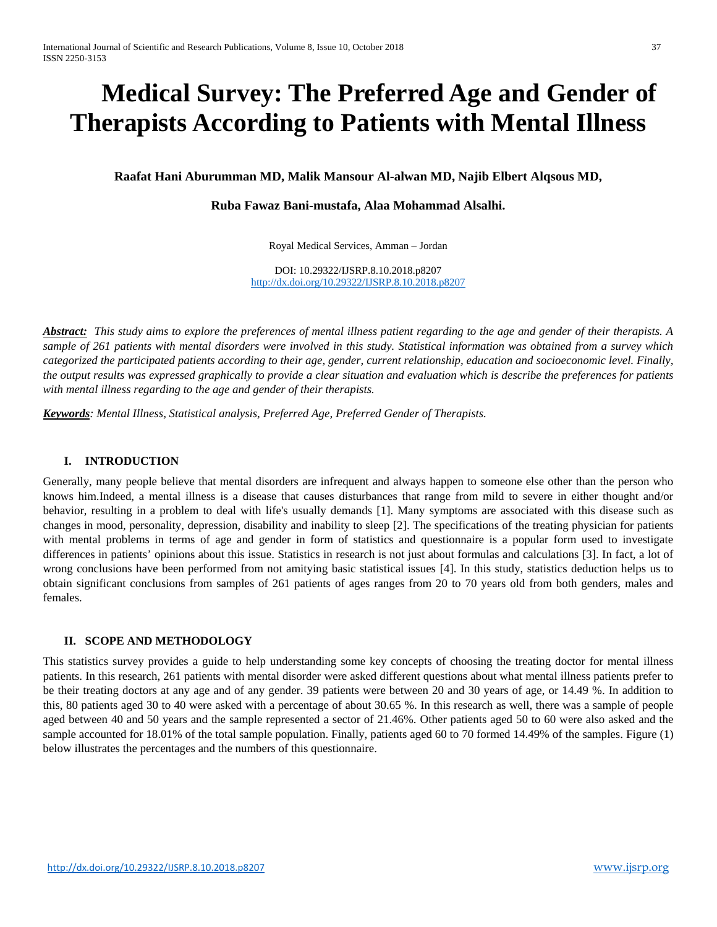# **Medical Survey: The Preferred Age and Gender of Therapists According to Patients with Mental Illness**

**Raafat Hani Aburumman MD, Malik Mansour Al-alwan MD, Najib Elbert Alqsous MD,** 

## **Ruba Fawaz Bani-mustafa, Alaa Mohammad Alsalhi.**

Royal Medical Services, Amman – Jordan

DOI: 10.29322/IJSRP.8.10.2018.p8207 <http://dx.doi.org/10.29322/IJSRP.8.10.2018.p8207>

*Abstract: This study aims to explore the preferences of mental illness patient regarding to the age and gender of their therapists. A sample of 261 patients with mental disorders were involved in this study. Statistical information was obtained from a survey which categorized the participated patients according to their age, gender, current relationship, education and socioeconomic level. Finally, the output results was expressed graphically to provide a clear situation and evaluation which is describe the preferences for patients with mental illness regarding to the age and gender of their therapists.*

*Keywords: Mental Illness, Statistical analysis, Preferred Age, Preferred Gender of Therapists.*

#### **I. INTRODUCTION**

Generally, many people believe that mental disorders are infrequent and always happen to someone else other than the person who knows him.Indeed, a mental illness is a disease that causes disturbances that range from mild to severe in either thought and/or behavior, resulting in a problem to deal with life's usually demands [1]. Many symptoms are associated with this disease such as changes in mood, personality, depression, disability and inability to sleep [2]. The specifications of the treating physician for patients with mental problems in terms of age and gender in form of statistics and questionnaire is a popular form used to investigate differences in patients' opinions about this issue. Statistics in research is not just about formulas and calculations [3]. In fact, a lot of wrong conclusions have been performed from not amitying basic statistical issues [4]. In this study, statistics deduction helps us to obtain significant conclusions from samples of 261 patients of ages ranges from 20 to 70 years old from both genders, males and females.

### **II. SCOPE AND METHODOLOGY**

This statistics survey provides a guide to help understanding some key concepts of choosing the treating doctor for mental illness patients. In this research, 261 patients with mental disorder were asked different questions about what mental illness patients prefer to be their treating doctors at any age and of any gender. 39 patients were between 20 and 30 years of age, or 14.49 %. In addition to this, 80 patients aged 30 to 40 were asked with a percentage of about 30.65 %. In this research as well, there was a sample of people aged between 40 and 50 years and the sample represented a sector of 21.46%. Other patients aged 50 to 60 were also asked and the sample accounted for 18.01% of the total sample population. Finally, patients aged 60 to 70 formed 14.49% of the samples. Figure (1) below illustrates the percentages and the numbers of this questionnaire.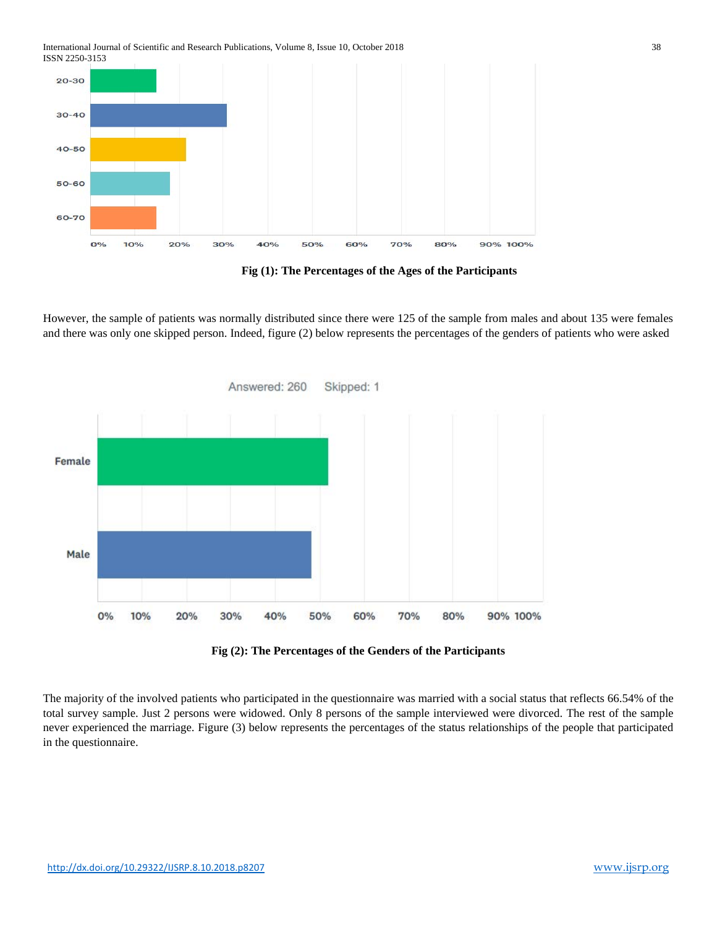International Journal of Scientific and Research Publications, Volume 8, Issue 10, October 2018 38 ISSN 2250-3153



**Fig (1): The Percentages of the Ages of the Participants**

However, the sample of patients was normally distributed since there were 125 of the sample from males and about 135 were females and there was only one skipped person. Indeed, figure (2) below represents the percentages of the genders of patients who were asked





The majority of the involved patients who participated in the questionnaire was married with a social status that reflects 66.54% of the total survey sample. Just 2 persons were widowed. Only 8 persons of the sample interviewed were divorced. The rest of the sample never experienced the marriage. Figure (3) below represents the percentages of the status relationships of the people that participated in the questionnaire.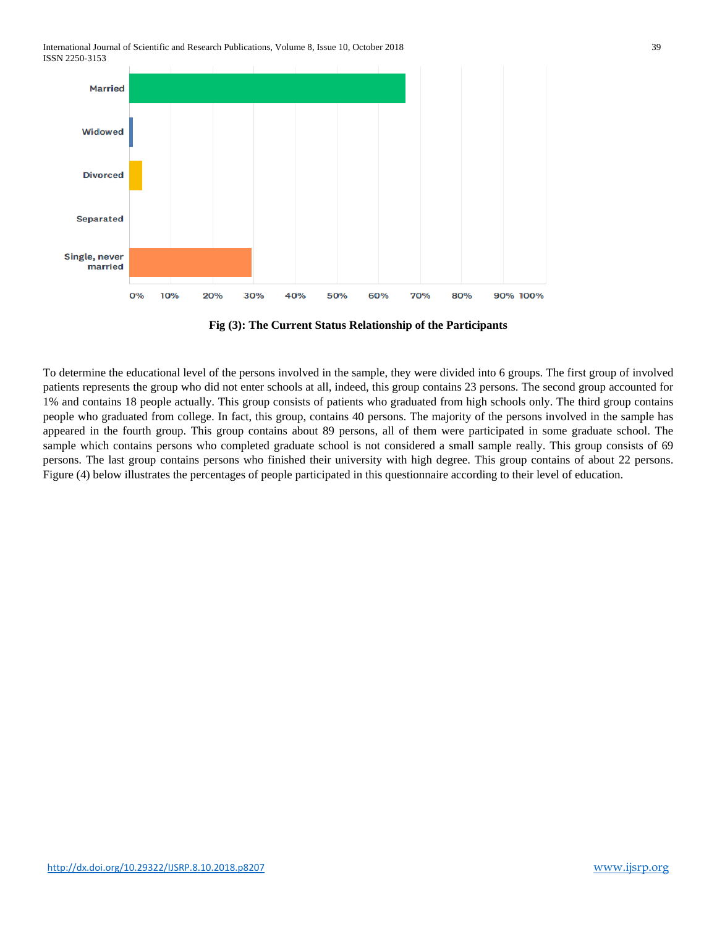International Journal of Scientific and Research Publications, Volume 8, Issue 10, October 2018 39 ISSN 2250-3153



**Fig (3): The Current Status Relationship of the Participants**

To determine the educational level of the persons involved in the sample, they were divided into 6 groups. The first group of involved patients represents the group who did not enter schools at all, indeed, this group contains 23 persons. The second group accounted for 1% and contains 18 people actually. This group consists of patients who graduated from high schools only. The third group contains people who graduated from college. In fact, this group, contains 40 persons. The majority of the persons involved in the sample has appeared in the fourth group. This group contains about 89 persons, all of them were participated in some graduate school. The sample which contains persons who completed graduate school is not considered a small sample really. This group consists of 69 persons. The last group contains persons who finished their university with high degree. This group contains of about 22 persons. Figure (4) below illustrates the percentages of people participated in this questionnaire according to their level of education.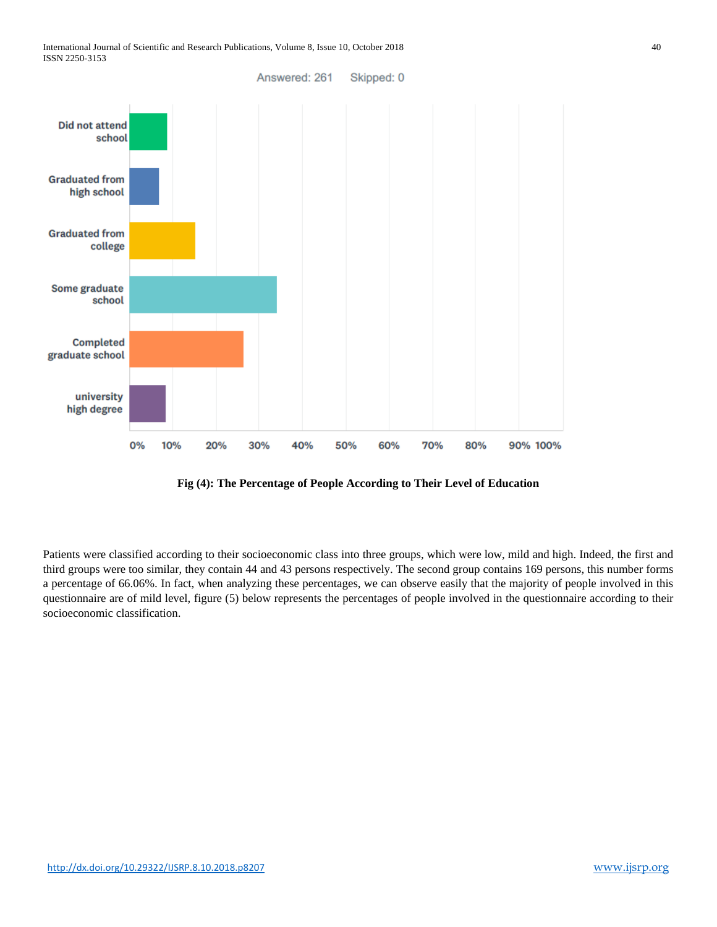

**Fig (4): The Percentage of People According to Their Level of Education**

Patients were classified according to their socioeconomic class into three groups, which were low, mild and high. Indeed, the first and third groups were too similar, they contain 44 and 43 persons respectively. The second group contains 169 persons, this number forms a percentage of 66.06%. In fact, when analyzing these percentages, we can observe easily that the majority of people involved in this questionnaire are of mild level, figure (5) below represents the percentages of people involved in the questionnaire according to their socioeconomic classification.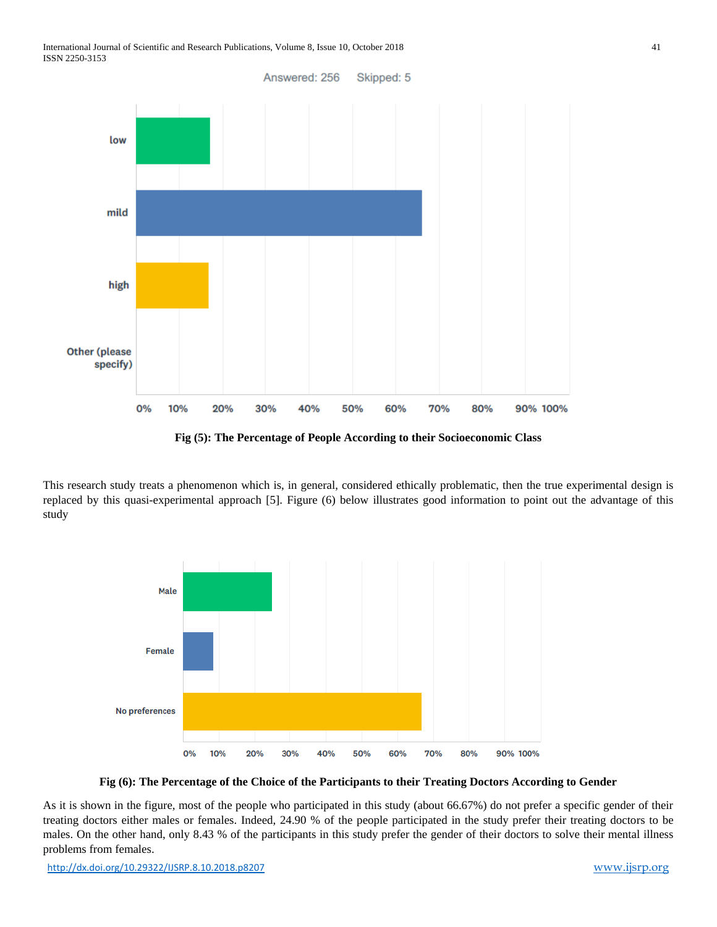

**Fig (5): The Percentage of People According to their Socioeconomic Class**

This research study treats a phenomenon which is, in general, considered ethically problematic, then the true experimental design is replaced by this quasi-experimental approach [5]. Figure (6) below illustrates good information to point out the advantage of this study



**Fig (6): The Percentage of the Choice of the Participants to their Treating Doctors According to Gender** 

As it is shown in the figure, most of the people who participated in this study (about 66.67%) do not prefer a specific gender of their treating doctors either males or females. Indeed, 24.90 % of the people participated in the study prefer their treating doctors to be males. On the other hand, only 8.43 % of the participants in this study prefer the gender of their doctors to solve their mental illness problems from females.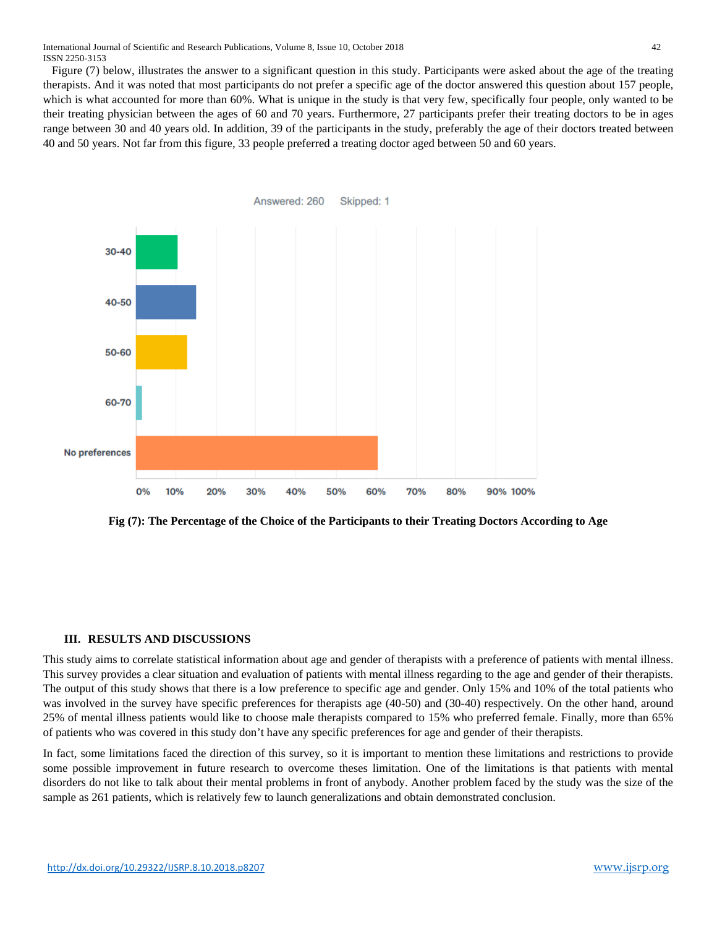Figure (7) below, illustrates the answer to a significant question in this study. Participants were asked about the age of the treating therapists. And it was noted that most participants do not prefer a specific age of the doctor answered this question about 157 people, which is what accounted for more than 60%. What is unique in the study is that very few, specifically four people, only wanted to be their treating physician between the ages of 60 and 70 years. Furthermore, 27 participants prefer their treating doctors to be in ages range between 30 and 40 years old. In addition, 39 of the participants in the study, preferably the age of their doctors treated between 40 and 50 years. Not far from this figure, 33 people preferred a treating doctor aged between 50 and 60 years.



**Fig (7): The Percentage of the Choice of the Participants to their Treating Doctors According to Age**

#### **III. RESULTS AND DISCUSSIONS**

This study aims to correlate statistical information about age and gender of therapists with a preference of patients with mental illness. This survey provides a clear situation and evaluation of patients with mental illness regarding to the age and gender of their therapists. The output of this study shows that there is a low preference to specific age and gender. Only 15% and 10% of the total patients who was involved in the survey have specific preferences for therapists age (40-50) and (30-40) respectively. On the other hand, around 25% of mental illness patients would like to choose male therapists compared to 15% who preferred female. Finally, more than 65% of patients who was covered in this study don't have any specific preferences for age and gender of their therapists.

In fact, some limitations faced the direction of this survey, so it is important to mention these limitations and restrictions to provide some possible improvement in future research to overcome theses limitation. One of the limitations is that patients with mental disorders do not like to talk about their mental problems in front of anybody. Another problem faced by the study was the size of the sample as 261 patients, which is relatively few to launch generalizations and obtain demonstrated conclusion.